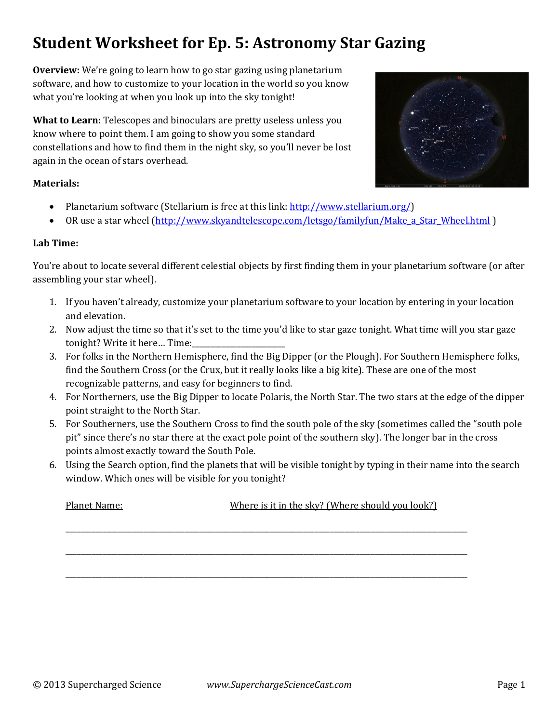# **Student Worksheet for Ep. 5: Astronomy Star Gazing**

**Overview:** We're going to learn how to go star gazing using planetarium software, and how to customize to your location in the world so you know what you're looking at when you look up into the sky tonight!

**What to Learn:** Telescopes and binoculars are pretty useless unless you know where to point them. I am going to show you some standard constellations and how to find them in the night sky, so you'll never be lost again in the ocean of stars overhead.

## **Materials:**

- Planetarium software (Stellarium is free at this link:  $\frac{http://www.stellarium.org/}{http://www.stellarium.org/)}$
- OR use a star wheel (http://www.skyandtelescope.com/letsgo/familyfun/Make a Star Wheel.html)

## **Lab Time:**

You're about to locate several different celestial objects by first finding them in your planetarium software (or after assembling your star wheel).

- 1. If you haven't already, customize your planetarium software to your location by entering in your location and elevation.
- 2. Now adjust the time so that it's set to the time you'd like to star gaze tonight. What time will you star gaze tonight? Write it here... Time:
- 3. For folks in the Northern Hemisphere, find the Big Dipper (or the Plough). For Southern Hemisphere folks, find the Southern Cross (or the Crux, but it really looks like a big kite). These are one of the most recognizable patterns, and easy for beginners to find.
- 4. For Northerners, use the Big Dipper to locate Polaris, the North Star. The two stars at the edge of the dipper point straight to the North Star.
- 5. For Southerners, use the Southern Cross to find the south pole of the sky (sometimes called the "south pole pit" since there's no star there at the exact pole point of the southern sky). The longer bar in the cross points almost exactly toward the South Pole.
- 6. Using the Search option, find the planets that will be visible tonight by typing in their name into the search window. Which ones will be visible for you tonight?

\_\_\_\_\_\_\_\_\_\_\_\_\_\_\_\_\_\_\_\_\_\_\_\_\_\_\_\_\_\_\_\_\_\_\_\_\_\_\_\_\_\_\_\_\_\_\_\_\_\_\_\_\_\_\_\_\_\_\_\_\_\_\_\_\_\_\_\_\_\_\_\_\_\_\_\_\_\_\_\_\_\_\_\_\_\_\_\_\_\_\_\_\_\_\_\_\_\_\_\_\_\_\_\_\_\_\_\_ 

\_\_\_\_\_\_\_\_\_\_\_\_\_\_\_\_\_\_\_\_\_\_\_\_\_\_\_\_\_\_\_\_\_\_\_\_\_\_\_\_\_\_\_\_\_\_\_\_\_\_\_\_\_\_\_\_\_\_\_\_\_\_\_\_\_\_\_\_\_\_\_\_\_\_\_\_\_\_\_\_\_\_\_\_\_\_\_\_\_\_\_\_\_\_\_\_\_\_\_\_\_\_\_\_\_\_\_\_ 

\_\_\_\_\_\_\_\_\_\_\_\_\_\_\_\_\_\_\_\_\_\_\_\_\_\_\_\_\_\_\_\_\_\_\_\_\_\_\_\_\_\_\_\_\_\_\_\_\_\_\_\_\_\_\_\_\_\_\_\_\_\_\_\_\_\_\_\_\_\_\_\_\_\_\_\_\_\_\_\_\_\_\_\_\_\_\_\_\_\_\_\_\_\_\_\_\_\_\_\_\_\_\_\_\_\_\_\_ 

Planet Name:  $\blacksquare$  Where is it in the sky? (Where should you look?)

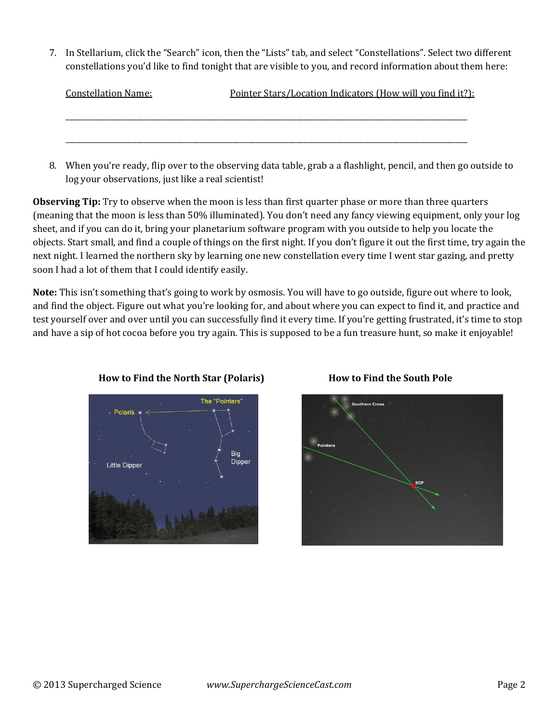7. In Stellarium, click the "Search" icon, then the "Lists" tab, and select "Constellations". Select two different constellations you'd like to find tonight that are visible to you, and record information about them here:

| <b>Constellation Name:</b> | Pointer Stars/Location Indicators (How will you find it?): |  |  |
|----------------------------|------------------------------------------------------------|--|--|
|                            |                                                            |  |  |
|                            |                                                            |  |  |
|                            |                                                            |  |  |

8. When you're ready, flip over to the observing data table, grab a a flashlight, pencil, and then go outside to log your observations, just like a real scientist!

**Observing Tip:** Try to observe when the moon is less than first quarter phase or more than three quarters (meaning that the moon is less than 50% illuminated). You don't need any fancy viewing equipment, only your log sheet, and if you can do it, bring your planetarium software program with you outside to help you locate the objects. Start small, and find a couple of things on the first night. If you don't figure it out the first time, try again the next night. I learned the northern sky by learning one new constellation every time I went star gazing, and pretty soon I had a lot of them that I could identify easily.

**Note:** This isn't something that's going to work by osmosis. You will have to go outside, figure out where to look, and find the object. Figure out what you're looking for, and about where you can expect to find it, and practice and test yourself over and over until you can successfully find it every time. If you're getting frustrated, it's time to stop and have a sip of hot cocoa before you try again. This is supposed to be a fun treasure hunt, so make it enjoyable!



# **How to Find the North Star (Polaris) How to Find the South Pole**

# **Southern Cross**